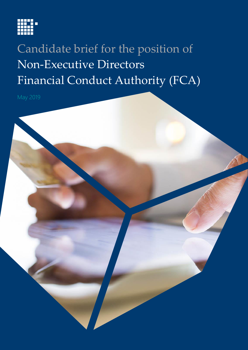

# Candidate brief for the position of Non-Executive Directors Financial Conduct Authority (FCA)

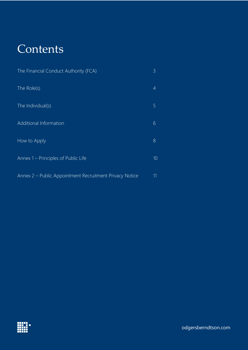## **Contents**

| The Financial Conduct Authority (FCA)                   | $\mathcal{E}$ |
|---------------------------------------------------------|---------------|
| The Role(s)                                             | 4             |
| The Individual(s)                                       | 5             |
| <b>Additional Information</b>                           | 6             |
| How to Apply                                            | 8             |
| Annex 1 – Principles of Public Life                     | 10            |
| Annex 2 – Public Appointment Recruitment Privacy Notice | 11            |

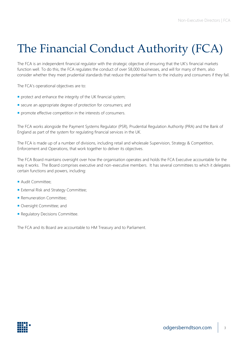# <span id="page-2-0"></span>The Financial Conduct Authority (FCA)

The FCA is an independent financial regulator with the strategic objective of ensuring that the UK's financial markets function well. To do this, the FCA regulates the conduct of over 58,000 businesses, and will for many of them, also consider whether they meet prudential standards that reduce the potential harm to the industry and consumers if they fail.

The FCA's operational objectives are to:

- protect and enhance the integrity of the UK financial system;
- **E** secure an appropriate degree of protection for consumers; and
- **promote effective competition in the interests of consumers.**

The FCA works alongside the Payment Systems Regulator (PSR), Prudential Regulation Authority (PRA) and the Bank of England as part of the system for regulating financial services in the UK.

The FCA is made up of a number of divisions, including retail and wholesale Supervision, Strategy & Competition, Enforcement and Operations, that work together to deliver its objectives.

The FCA Board maintains oversight over how the organisation operates and holds the FCA Executive accountable for the way it works. The Board comprises executive and non-executive members. It has several committees to which it delegates certain functions and powers, including:

- Audit Committee:
- **External Risk and Strategy Committee;**
- **Remuneration Committee;**
- Oversight Committee; and
- **Requiatory Decisions Committee.**

The FCA and its Board are accountable to HM Treasury and to Parliament.

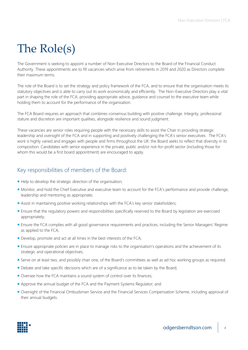## <span id="page-3-0"></span>The Role(s)

The Government is seeking to appoint a number of Non-Executive Directors to the Board of the Financial Conduct Authority. These appointments are to fill vacancies which arise from retirements in 2019 and 2020 as Directors complete their maximum terms.

The role of the Board is to set the strategy and policy framework of the FCA, and to ensure that the organisation meets its statutory objectives and is able to carry out its work economically and efficiently. The Non-Executive Directors play a vital part in shaping the role of the FCA, providing appropriate advice, guidance and counsel to the executive team while holding them to account for the performance of the organisation.

The FCA Board requires an approach that combines consensus building with positive challenge. Integrity, professional stature and discretion are important qualities, alongside resilience and sound judgment.

These vacancies are senior roles requiring people with the necessary skills to assist the Chair in providing strategic leadership and oversight of the FCA and in supporting and positively challenging the FCA's senior executives. The FCA's work is highly varied and engages with people and firms throughout the UK: the Board seeks to reflect that diversity in its composition. Candidates with senior experience in the private, public and/or not-for-profit sector (including those for whom this would be a first board appointment) are encouraged to apply.

## Key responsibilities of members of the Board:

- Help to develop the strategic direction of the organisation;
- Monitor, and hold the Chief Executive and executive team to account for the FCA's performance and provide challenge, leadership and mentoring as appropriate;
- **Assist in maintaining positive working relationships with the FCA's key senior stakeholders;**
- **Ensure that the regulatory powers and responsibilities specifically reserved to the Board by legislation are exercised** appropriately;
- Ensure the FCA complies with all good governance requirements and practices, including the Senior Managers' Regime as applied to the FCA;
- Develop, promote and act at all times in the best interests of the FCA;
- **Ensure appropriate policies are in place to manage risks to the organisation's operations and the achievement of its** strategic and operational objectives;
- Serve on at least two, and possibly chair one, of the Board's committees as well as ad hoc working groups as required;
- Debate and take specific decisions which are of a significance as to be taken by the Board;
- Oversee how the FCA maintains a sound system of control over its finances;
- Approve the annual budget of the FCA and the Payment Systems Regulator; and
- Oversight of the Financial Ombudsman Service and the Financial Services Compensation Scheme, including approval of their annual budgets.

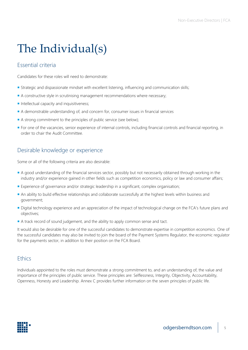# <span id="page-4-0"></span>The Individual(s)

## Essential criteria

Candidates for these roles will need to demonstrate:

- **Strategic and dispassionate mindset with excellent listening, influencing and communication skills;**
- A constructive style in scrutinising management recommendations where necessary;
- $\blacksquare$  Intellectual capacity and inquisitiveness;
- A demonstrable understanding of, and concern for, consumer issues in financial services
- A strong commitment to the principles of public service (see below);
- For one of the vacancies, senior experience of internal controls, including financial controls and financial reporting, in order to chair the Audit Committee.

## Desirable knowledge or experience

Some or all of the following criteria are also desirable:

- A good understanding of the financial services sector, possibly but not necessarily obtained through working in the industry and/or experience gained in other fields such as competition economics, policy or law and consumer affairs;
- **Experience of governance and/or strategic leadership in a significant, complex organisation;**
- An ability to build effective relationships and collaborate successfully at the highest levels within business and government;
- Digital technology experience and an appreciation of the impact of technological change on the FCA's future plans and objectives;
- A track record of sound judgement, and the ability to apply common sense and tact.

It would also be desirable for one of the successful candidates to demonstrate expertise in competition economics. One of the successful candidates may also be invited to join the board of the Payment Systems Regulator, the economic regulator for the payments sector, in addition to their position on the FCA Board.

### **Ethics**

Individuals appointed to the roles must demonstrate a strong commitment to, and an understanding of, the value and importance of the principles of public service. These principles are: Selflessness, Integrity, Objectivity, Accountability, Openness, Honesty and Leadership. Annex C provides further information on the seven principles of public life.

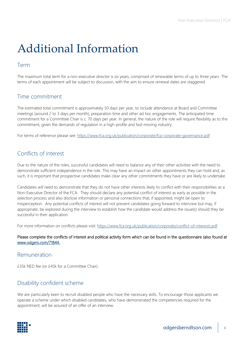## <span id="page-5-0"></span>Additional Information

## Term

The maximum total term for a non-executive director is six years, comprised of renewable terms of up to three years. The terms of each appointment will be subject to discussion, with the aim to ensure renewal dates are staggered.

## Time commitment

The estimated total commitment is approximately 50 days per year, to include attendance at Board and Committee meetings (around 2 to 3 days per month), preparation time and other ad hoc engagements. The anticipated time commitment for a Committee Chair is c. 70 days per year. In general, the nature of the role will require flexibility as to the commitment, given the demands of regulation in a high-profile and fast-moving industry.

For terms of reference please see:<https://www.fca.org.uk/publication/corporate/fca-corporate-governance.pdf>

## Conflicts of interest

Due to the nature of the roles, successful candidates will need to balance any of their other activities with the need to demonstrate sufficient independence in the role. This may have an impact on other appointments they can hold and, as such, it is important that prospective candidates make clear any other commitments they have or are likely to undertake.

Candidates will need to demonstrate that they do not have other interests likely to conflict with their responsibilities as a Non-Executive Director of the FCA. They should declare any potential conflict of interest as early as possible in the selection process and also disclose information or personal connections that, if appointed, might be open to misperception. Any potential conflicts of interest will not prevent candidates going forward to interview but may, if appropriate, be explored during the interview to establish how the candidate would address the issue(s) should they be successful in their application.

For more information on conflicts please visit:<https://www.fca.org.uk/publication/corporate/conflict-of-interests.pdf>

#### Please complete the conflicts of interest and political activity form which can be found in the questionnaire (also found at [www.odgers.com/71844.](http://www.odgers.com/71844)

### Remuneration

£35k NED fee (or £45k for a Committee Chair).

## Disability confident scheme

We are particularly keen to recruit disabled people who have the necessary skills. To encourage those applicants we operate a scheme under which disabled candidates, who have demonstrated the competencies required for the appointment, will be assured of an offer of an interview.

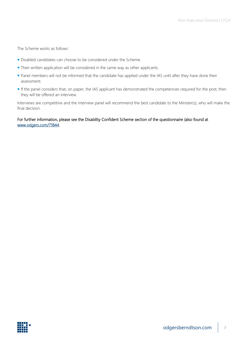The Scheme works as follows:

- Disabled candidates can choose to be considered under the Scheme.
- **Their written application will be considered in the same way as other applicants.**
- **Panel members will not be informed that the candidate has applied under the IAS until after they have done their** assessment.
- If the panel considers that, on paper, the IAS applicant has demonstrated the competencies required for the post, then they will be offered an interview.

Interviews are competitive and the interview panel will recommend the best candidate to the Minister(s), who will make the final decision.

#### For further information, please see the Disability Confident Scheme section of the questionnaire (also found at [www.odgers.com/71844.](http://www.odgers.com/71844)

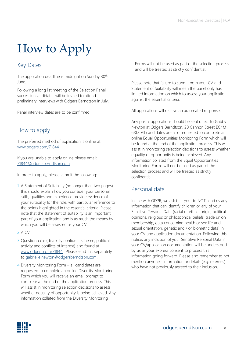# <span id="page-7-0"></span>How to Apply

## Key Dates

The application deadline is midnight on Sunday 30<sup>th</sup> June.

Following a long list meeting of the Selection Panel, successful candidates will be invited to attend preliminary interviews with Odgers Berndtson in July.

Panel interview dates are to be confirmed.

## How to apply

The preferred method of application is online at: [www.odgers.com/71844](http://www.odgers.com/71844)

If you are unable to apply online please email: [71844@odgersberndtson.com](mailto:71844@odgersberndtson.com)

In order to apply, please submit the following:

- 1. A Statement of Suitability (no longer than two pages) this should explain how you consider your personal skills, qualities and experience provide evidence of your suitability for the role, with particular reference to the points highlighted in the essential criteria. Please note that the statement of suitability is an important part of your application and is as much the means by which you will be assessed as your CV.
- 2.A CV
- 3.Questionnaire (disability confident scheme, political activity and conflicts of interest) also found at [www.odgers.com/71844](http://www.odgers.com/71844) . Please send this separately to [gabrielle.newton@odgersberndtson.com.](mailto:gabrielle.newton@odgersberndtson.com)
- 4.Diversity Monitoring Form all candidates are requested to complete an online Diversity Monitoring Form which you will receive an email prompt to complete at the end of the application process. This will assist in monitoring selection decisions to assess whether equality of opportunity is being achieved. Any information collated from the Diversity Monitoring

Forms will not be used as part of the selection process and will be treated as strictly confidential.

Please note that failure to submit both your CV and Statement of Suitability will mean the panel only has limited information on which to assess your application against the essential criteria.

All applications will receive an automated response.

Any postal applications should be sent direct to Gabby Newton at Odgers Berndtson, 20 Cannon Street EC4M 6XD. All candidates are also requested to complete an online Equal Opportunities Monitoring Form which will be found at the end of the application process. This will assist in monitoring selection decisions to assess whether equality of opportunity is being achieved. Any information collated from the Equal Opportunities Monitoring Forms will not be used as part of the selection process and will be treated as strictly confidential.

## Personal data

In line with GDPR, we ask that you do NOT send us any information that can identify children or any of your Sensitive Personal Data (racial or ethnic origin, political opinions, religious or philosophical beliefs, trade union membership, data concerning health or sex life and sexual orientation, genetic and / or biometric data) in your CV and application documentation. Following this notice, any inclusion of your Sensitive Personal Data in your CV/application documentation will be understood by us as your express consent to process this information going forward. Please also remember to not mention anyone's information or details (e.g. referees) who have not previously agreed to their inclusion.

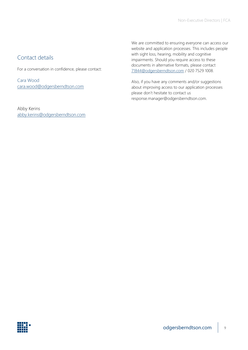## Contact details

For a conversation in confidence, please contact:

Cara Wood [cara.wood@odgersberndtson.com](mailto:cara.wood@odgersberndtson.com)

Abby Kerins [abby.kerins@odgersberndtson.com](mailto:abby.kerins@odgersberndtson.com) We are committed to ensuring everyone can access our website and application processes. This includes people with sight loss, hearing, mobility and cognitive impairments. Should you require access to these documents in alternative formats, please contact [71844@odgersberndtson.com](mailto:71844@odgersberndtson.com) / 020 7529 1008.

Also, if you have any comments and/or suggestions about improving access to our application processes please don't hesitate to contact us response.manager@odgersberndtson.com.

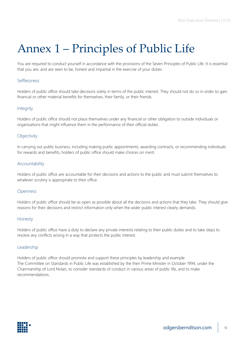## <span id="page-9-0"></span>Annex 1 – Principles of Public Life

You are required to conduct yourself in accordance with the provisions of the Seven Principles of Public Life. It is essential that you are, and are seen to be, honest and impartial in the exercise of your duties.

### Selflessness

Holders of public office should take decisions solely in terms of the public interest. They should not do so in order to gain financial or other material benefits for themselves, their family, or their friends.

#### **Integrity**

Holders of public office should not place themselves under any financial or other obligation to outside individuals or organisations that might influence them in the performance of their official duties.

#### **Objectivity**

In carrying out public business, including making public appointments, awarding contracts, or recommending individuals for rewards and benefits, holders of public office should make choices on merit.

#### Accountability

Holders of public office are accountable for their decisions and actions to the public and must submit themselves to whatever scrutiny is appropriate to their office.

#### Openness

Holders of public office should be as open as possible about all the decisions and actions that they take. They should give reasons for their decisions and restrict information only when the wider public interest clearly demands.

#### Honesty

Holders of public office have a duty to declare any private interests relating to their public duties and to take steps to resolve any conflicts arising in a way that protects the public interest.

#### Leadership

Holders of public office should promote and support these principles by leadership and example. The Committee on Standards in Public Life was established by the then Prime Minister in October 1994, under the Chairmanship of Lord Nolan, to consider standards of conduct in various areas of public life, and to make recommendations.

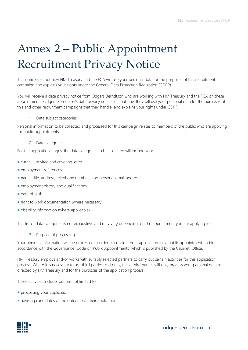# <span id="page-10-0"></span>Annex 2 – Public Appointment Recruitment Privacy Notice

This notice sets out how HM Treasury and the FCA will use your personal data for the purposes of this recruitment campaign and explains your rights under the General Data Protection Regulation (GDPR).

You will receive a data privacy notice from Odgers Berndtson who are working with HM Treasury and the FCA on these appointments. Odgers Berndtson's data privacy notice sets out how they will use your personal data for the purposes of this and other recruitment campaigns that they handle, and explains your rights under GDPR.

#### 1 Data subject categories

Personal information to be collected and processed for this campaign relates to members of the public who are applying for public appointments.

#### 2 Data categories

For the application stages, the data categories to be collected will include your:

- curriculum vitae and covering letter
- **employment references**
- name, title, address, telephone numbers and personal email address
- **employment history and qualifications**
- date of birth
- $\blacksquare$  right to work documentation (where necessary)
- **disability information (where applicable)**

This list of data categories is not exhaustive and may vary depending on the appointment you are applying for.

3 Purpose of processing

Your personal information will be processed in order to consider your application for a public appointment and in accordance with the Governance Code on Public Appointments which is published by the Cabinet Office.

HM Treasury employs and/or works with suitably selected partners to carry out certain activities for this application process. Where it is necessary to use third parties to do this, these third parties will only process your personal data as directed by HM Treasury and for the purposes of the application process.

These activities include, but are not limited to:

- **processing your application**
- advising candidates of the outcome of their application

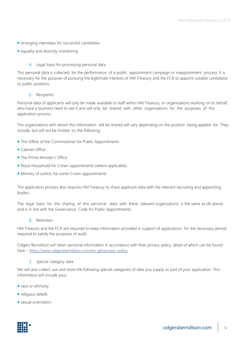- **a** arranging interviews for successful candidates
- equality and diversity monitoring.

### 4 Legal basis for processing personal data

This personal data is collected for the performance of a public appointment campaign or reappointment process. It is necessary for the purpose of pursuing the legitimate interests of HM Treasury and the FCA to appoint suitable candidates to public positions.

#### 5 Recipients

Personal data of applicants will only be made available to staff within HM Treasury, or organisations working on its behalf, who have a business need to see it and will only be shared with other organisations for the purposes of this application process.

The organisations with whom this information will be shared will vary depending on the position being applied for. They include, but will not be limited to, the following:

- **The Office of the Commissioner for Public Appointments**
- Cabinet Office
- **The Prime Minister's Office**
- Royal Household for Crown appointments (where applicable)
- **Ministry of Justice, for some Crown appointments**

The application process also requires HM Treasury to share applicant data with the relevant recruiting and appointing bodies.

The legal basis for the sharing of this personal data with these relevant organisations is the same as (4) above and is in line with the Governance Code for Public Appointments.

6 Retention

HM Treasury and the FCA are required to keep information provided in support of applications for the necessary period required to satisfy the purposes of audit.

Odgers Berndtson will retain personal information in accordance with their privacy policy, detail of which can be found here – <https://www.odgersberndtson.com/en-gb/privacy-policy>

7 Special category data

We will also collect, use and store the following special categories of data you supply as part of your application. This information will include your:

- race or ethnicity
- **religious beliefs**
- sexual orientation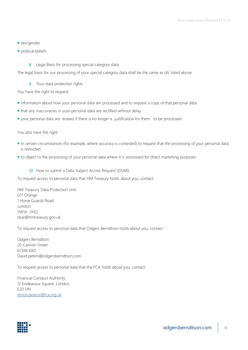- sex/gender
- political beliefs
	- 8 Legal Basis for processing special category data

The legal basis for our processing of your special category data shall be the same as (4), listed above.

9 Your data protection rights

You have the right to request:

- **n** information about how your personal data are processed and to request a copy of that personal data
- that any inaccuracies in your personal data are rectified without delay
- vour personal data are erased if there is no longer a justification for them to be processed

You also have the right:

- in certain circumstances (for example, where accuracy is contested) to request that the processing of your personal data is restricted
- $\blacksquare$  to object to the processing of your personal data where it is processed for direct marketing purposes
	- 10 How to submit a Data Subject Access Request (DSAR)

To request access to personal data that HM Treasury holds about you, contact:

HM Treasury Data Protection Unit G11 Orange 1 Horse Guards Road London SW1A 2HQ dsar@hmtreasury.gov.uk

To request access to personal data that Odgers Berndtson holds about you, contact:

Odgers Berndtson 20 Cannon Street ECM4 6XD David.peters@odgersberndtson.com

To request access to personal data that the FCA holds about you, contact:

Financial Conduct Authority 12 Endeavour Square, London, E20 1JN [simon.pearce@fca.org.uk](mailto:simon.pearce@fca.org.uk)

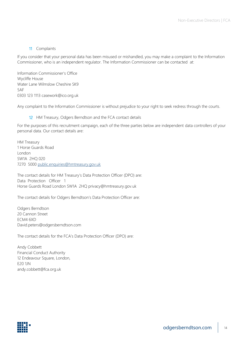#### 11 Complaints

If you consider that your personal data has been misused or mishandled, you may make a complaint to the Information Commissioner, who is an independent regulator. The Information Commissioner can be contacted at:

Information Commissioner's Office Wycliffe House Water Lane Wilmslow Cheshire SK9 5AF 0303 123 1113 casework@ico.org.uk

Any complaint to the Information Commissioner is without prejudice to your right to seek redress through the courts.

12 HM Treasury, Odgers Berndtson and the FCA contact details

For the purposes of this recruitment campaign, each of the three parties below are independent data controllers of your personal data. Our contact details are:

HM Treasury 1 Horse Guards Road London SW1A 2HQ 020 7270 5000 [public.enquiries@hmtreasury.gov.uk](mailto:public.enquiries@hmtreasury.gov.uk)

The contact details for HM Treasury's Data Protection Officer (DPO) are: Data Protection Officer 1 Horse Guards Road London SW1A 2HQ privacy@hmtreasury.gov.uk

The contact details for Odgers Berndtson's Data Protection Officer are:

Odgers Berndtson 20 Cannon Street ECM4 6XD David.peters@odgersberndtson.com

The contact details for the FCA's Data Protection Officer (DPO) are:

Andy Cobbett Financial Conduct Authority 12 Endeavour Square, London, E20 1JN andy.cobbett@fca.org.uk